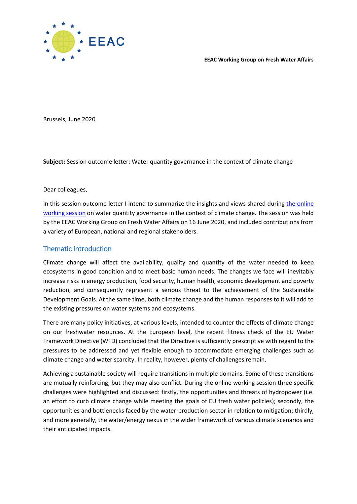

**EEAC Working Group on Fresh Water Affairs** 

Brussels, June 2020

**Subject:** Session outcome letter: Water quantity governance in the context of climate change

Dear colleagues,

In this session outcome letter I intend to summarize the insights and views shared during the online [working session](http://eeac.eu/thematic-focus/fresh-water-affairs/) on water quantity governance in the context of climate change. The session was held by the EEAC Working Group on Fresh Water Affairs on 16 June 2020, and included contributions from a variety of European, national and regional stakeholders.

#### Thematic introduction

Climate change will affect the availability, quality and quantity of the water needed to keep ecosystems in good condition and to meet basic human needs. The changes we face will inevitably increase risks in energy production, food security, human health, economic development and poverty reduction, and consequently represent a serious threat to the achievement of the Sustainable Development Goals. At the same time, both climate change and the human responses to it will add to the existing pressures on water systems and ecosystems.

There are many policy initiatives, at various levels, intended to counter the effects of climate change on our freshwater resources. At the European level, the recent fitness check of the EU Water Framework Directive (WFD) concluded that the Directive is sufficiently prescriptive with regard to the pressures to be addressed and yet flexible enough to accommodate emerging challenges such as climate change and water scarcity. In reality, however, plenty of challenges remain.

Achieving a sustainable society will require transitions in multiple domains. Some of these transitions are mutually reinforcing, but they may also conflict. During the online working session three specific challenges were highlighted and discussed: firstly, the opportunities and threats of hydropower (i.e. an effort to curb climate change while meeting the goals of EU fresh water policies); secondly, the opportunities and bottlenecks faced by the water-production sector in relation to mitigation; thirdly, and more generally, the water/energy nexus in the wider framework of various climate scenarios and their anticipated impacts.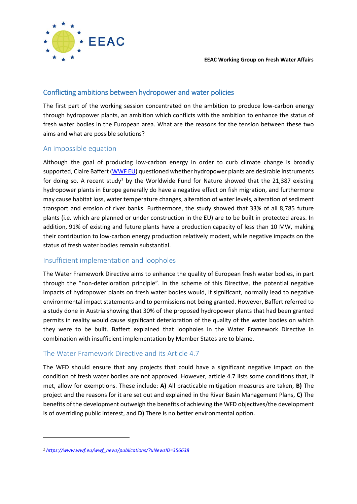

## Conflicting ambitions between hydropower and water policies

The first part of the working session concentrated on the ambition to produce low-carbon energy through hydropower plants, an ambition which conflicts with the ambition to enhance the status of fresh water bodies in the European area. What are the reasons for the tension between these two aims and what are possible solutions?

### An impossible equation

Although the goal of producing low-carbon energy in order to curb climate change is broadly supported, Claire Baffert [\(WWF EU\)](http://eeac.eu/wp-content/uploads/2020/06/EU-water-legislation-and-hydropower-irreconcilable-differences-by-Claire-Baffert.pptx-1.pdf) questioned whether hydropower plants are desirable instruments for doing so. A recent study<sup>1</sup> by the Worldwide Fund for Nature showed that the 21,387 existing hydropower plants in Europe generally do have a negative effect on fish migration, and furthermore may cause habitat loss, water temperature changes, alteration of water levels, alteration of sediment transport and erosion of river banks. Furthermore, the study showed that 33% of all 8,785 future plants (i.e. which are planned or under construction in the EU) are to be built in protected areas. In addition, 91% of existing and future plants have a production capacity of less than 10 MW, making their contribution to low-carbon energy production relatively modest, while negative impacts on the status of fresh water bodies remain substantial.

#### Insufficient implementation and loopholes

The Water Framework Directive aims to enhance the quality of European fresh water bodies, in part through the "non-deterioration principle". In the scheme of this Directive, the potential negative impacts of hydropower plants on fresh water bodies would, if significant, normally lead to negative environmental impact statements and to permissions not being granted. However, Baffert referred to a study done in Austria showing that 30% of the proposed hydropower plants that had been granted permits in reality would cause significant deterioration of the quality of the water bodies on which they were to be built. Baffert explained that loopholes in the Water Framework Directive in combination with insufficient implementation by Member States are to blame.

## The Water Framework Directive and its Article 4.7

The WFD should ensure that any projects that could have a significant negative impact on the condition of fresh water bodies are not approved. However, article 4.7 lists some conditions that, if met, allow for exemptions. These include: **A)** All practicable mitigation measures are taken, **B)** The project and the reasons for it are set out and explained in the River Basin Management Plans, **C)** The benefits of the development outweigh the benefits of achieving the WFD objectives/the development is of overriding public interest, and **D)** There is no better environmental option.

**.** 

*<sup>1</sup> [https://www.wwf.eu/wwf\\_news/publications/?uNewsID=356638](https://www.wwf.eu/wwf_news/publications/?uNewsID=356638)*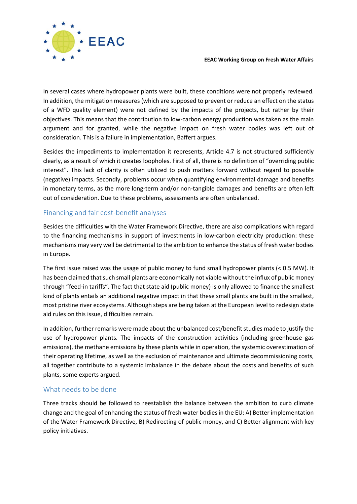

In several cases where hydropower plants were built, these conditions were not properly reviewed. In addition, the mitigation measures (which are supposed to prevent or reduce an effect on the status of a WFD quality element) were not defined by the impacts of the projects, but rather by their objectives. This means that the contribution to low-carbon energy production was taken as the main argument and for granted, while the negative impact on fresh water bodies was left out of consideration. This is a failure in implementation, Baffert argues.

Besides the impediments to implementation it represents, Article 4.7 is not structured sufficiently clearly, as a result of which it creates loopholes. First of all, there is no definition of "overriding public interest". This lack of clarity is often utilized to push matters forward without regard to possible (negative) impacts. Secondly, problems occur when quantifying environmental damage and benefits in monetary terms, as the more long-term and/or non-tangible damages and benefits are often left out of consideration. Due to these problems, assessments are often unbalanced.

### Financing and fair cost-benefit analyses

Besides the difficulties with the Water Framework Directive, there are also complications with regard to the financing mechanisms in support of investments in low-carbon electricity production: these mechanisms may very well be detrimental to the ambition to enhance the status of fresh water bodies in Europe.

The first issue raised was the usage of public money to fund small hydropower plants (< 0.5 MW). It has been claimed that such small plants are economically not viable without the influx of public money through "feed-in tariffs". The fact that state aid (public money) is only allowed to finance the smallest kind of plants entails an additional negative impact in that these small plants are built in the smallest, most pristine river ecosystems. Although steps are being taken at the European level to redesign state aid rules on this issue, difficulties remain.

In addition, further remarks were made about the unbalanced cost/benefit studies made to justify the use of hydropower plants. The impacts of the construction activities (including greenhouse gas emissions), the methane emissions by these plants while in operation, the systemic overestimation of their operating lifetime, as well as the exclusion of maintenance and ultimate decommissioning costs, all together contribute to a systemic imbalance in the debate about the costs and benefits of such plants, some experts argued.

#### What needs to be done

Three tracks should be followed to reestablish the balance between the ambition to curb climate change and the goal of enhancing the status of fresh water bodiesin the EU: A) Better implementation of the Water Framework Directive, B) Redirecting of public money, and C) Better alignment with key policy initiatives.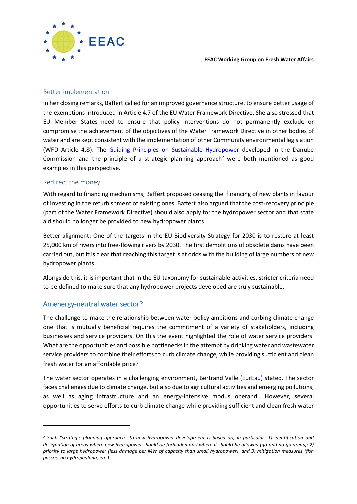

#### Better implementation

In her closing remarks, Baffert called for an improved governance structure, to ensure better usage of the exemptions introduced in Article 4.7 of the EU Water Framework Directive. She also stressed that EU Member States need to ensure that policy interventions do not permanently exclude or compromise the achievement of the objectives of the Water Framework Directive in other bodies of water and are kept consistent with the implementation of other Community environmental legislation (WFD Article 4.8). The [Guiding Principles on Sustainable Hydropower](https://www.icpdr.org/main/activities-projects/hydropower) developed in the Danube Commission and the principle of a strategic planning approach<sup>2</sup> were both mentioned as good examples in this perspective.

#### Redirect the money

With regard to financing mechanisms, Baffert proposed ceasing the financing of new plants in favour of investing in the refurbishment of existing ones. Baffert also argued that the cost-recovery principle (part of the Water Framework Directive) should also apply for the hydropower sector and that state aid should no longer be provided to new hydropower plants.

Better alignment: One of the targets in the EU Biodiversity Strategy for 2030 is to restore at least 25,000 km of rivers into free-flowing rivers by 2030. The first demolitions of obsolete dams have been carried out, but it is clear that reaching this target is at odds with the building of large numbers of new hydropower plants.

Alongside this, it is important that in the EU taxonomy for sustainable activities, stricter criteria need to be defined to make sure that any hydropower projects developed are truly sustainable.

#### An energy-neutral water sector?

-

The challenge to make the relationship between water policy ambitions and curbing climate change one that is mutually beneficial requires the commitment of a variety of stakeholders, including businesses and service providers. On this the event highlighted the role of water service providers. What are the opportunities and possible bottlenecks in the attempt by drinking water and wastewater service providers to combine their efforts to curb climate change, while providing sufficient and clean fresh water for an affordable price?

The water sector operates in a challenging environment, Bertrand Valle [\(EurEau\)](http://eeac.eu/wp-content/uploads/2020/06/Energy-neutrality-in-the-water-sector-where-are-we-and-what-can-we-do-by-Bertrand-Vallet.pdf) stated. The sector faces challenges due to climate change, but also due to agricultural activities and emerging pollutions, as well as aging infrastructure and an energy-intensive modus operandi. However, several opportunities to serve efforts to curb climate change while providing sufficient and clean fresh water

*<sup>2</sup> Such "strategic planning approach" to new hydropower development is based on, in particular: 1) identification and designation of areas where new hydropower should be forbidden and where it should be allowed (go and no-go areas); 2) priority to large hydropower (less damage per MW of capacity than small hydropower), and 3) mitigation measures (fish passes, no hydropeaking, etc.).*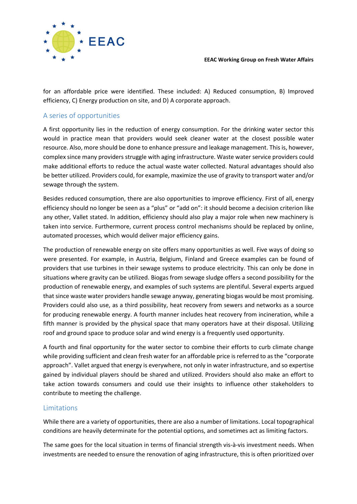

for an affordable price were identified. These included: A) Reduced consumption, B) Improved efficiency, C) Energy production on site, and D) A corporate approach.

## A series of opportunities

A first opportunity lies in the reduction of energy consumption. For the drinking water sector this would in practice mean that providers would seek cleaner water at the closest possible water resource. Also, more should be done to enhance pressure and leakage management. This is, however, complex since many providers struggle with aging infrastructure. Waste water service providers could make additional efforts to reduce the actual waste water collected. Natural advantages should also be better utilized. Providers could, for example, maximize the use of gravity to transport water and/or sewage through the system.

Besides reduced consumption, there are also opportunities to improve efficiency. First of all, energy efficiency should no longer be seen as a "plus" or "add on": it should become a decision criterion like any other, Vallet stated. In addition, efficiency should also play a major role when new machinery is taken into service. Furthermore, current process control mechanisms should be replaced by online, automated processes, which would deliver major efficiency gains.

The production of renewable energy on site offers many opportunities as well. Five ways of doing so were presented. For example, in Austria, Belgium, Finland and Greece examples can be found of providers that use turbines in their sewage systems to produce electricity. This can only be done in situations where gravity can be utilized. Biogas from sewage sludge offers a second possibility for the production of renewable energy, and examples of such systems are plentiful. Several experts argued that since waste water providers handle sewage anyway, generating biogas would be most promising. Providers could also use, as a third possibility, heat recovery from sewers and networks as a source for producing renewable energy. A fourth manner includes heat recovery from incineration, while a fifth manner is provided by the physical space that many operators have at their disposal. Utilizing roof and ground space to produce solar and wind energy is a frequently used opportunity.

A fourth and final opportunity for the water sector to combine their efforts to curb climate change while providing sufficient and clean fresh water for an affordable price is referred to as the "corporate approach". Vallet argued that energy is everywhere, not only in water infrastructure, and so expertise gained by individual players should be shared and utilized. Providers should also make an effort to take action towards consumers and could use their insights to influence other stakeholders to contribute to meeting the challenge.

## Limitations

While there are a variety of opportunities, there are also a number of limitations. Local topographical conditions are heavily determinate for the potential options, and sometimes act as limiting factors.

The same goes for the local situation in terms of financial strength vis-à-vis investment needs. When investments are needed to ensure the renovation of aging infrastructure, this is often prioritized over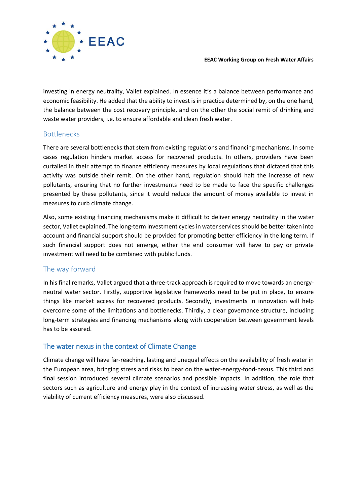

investing in energy neutrality, Vallet explained. In essence it's a balance between performance and economic feasibility. He added that the ability to invest is in practice determined by, on the one hand, the balance between the cost recovery principle, and on the other the social remit of drinking and waste water providers, i.e. to ensure affordable and clean fresh water.

### Bottlenecks

There are several bottlenecks that stem from existing regulations and financing mechanisms. In some cases regulation hinders market access for recovered products. In others, providers have been curtailed in their attempt to finance efficiency measures by local regulations that dictated that this activity was outside their remit. On the other hand, regulation should halt the increase of new pollutants, ensuring that no further investments need to be made to face the specific challenges presented by these pollutants, since it would reduce the amount of money available to invest in measures to curb climate change.

Also, some existing financing mechanisms make it difficult to deliver energy neutrality in the water sector, Vallet explained. The long-term investment cycles in water services should be better taken into account and financial support should be provided for promoting better efficiency in the long term. If such financial support does not emerge, either the end consumer will have to pay or private investment will need to be combined with public funds.

## The way forward

In his final remarks, Vallet argued that a three-track approach is required to move towards an energyneutral water sector. Firstly, supportive legislative frameworks need to be put in place, to ensure things like market access for recovered products. Secondly, investments in innovation will help overcome some of the limitations and bottlenecks. Thirdly, a clear governance structure, including long-term strategies and financing mechanisms along with cooperation between government levels has to be assured.

# The water nexus in the context of Climate Change

Climate change will have far-reaching, lasting and unequal effects on the availability of fresh water in the European area, bringing stress and risks to bear on the water-energy-food-nexus. This third and final session introduced several climate scenarios and possible impacts. In addition, the role that sectors such as agriculture and energy play in the context of increasing water stress, as well as the viability of current efficiency measures, were also discussed.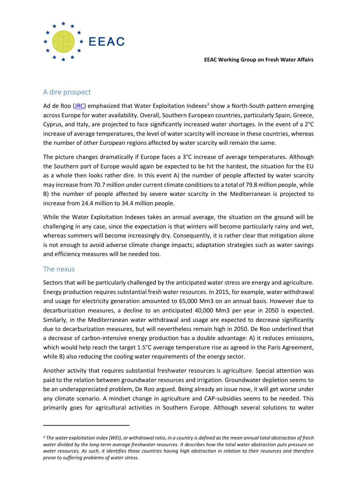#### A dire prospect

Ad de Roo (<u>JRC</u>) emphasized that Water Exploitation Indexes<sup>3</sup> show a North-South pattern emerging across Europe for water availability. Overall, Southern European countries, particularly Spain, Greece, Cyprus, and Italy, are projected to face significantly increased water shortages. In the event of a 2°C increase of average temperatures, the level of water scarcity will increase in these countries, whereas the number of other European regions affected by water scarcity will remain the same.

The picture changes dramatically if Europe faces a 3°C increase of average temperatures. Although the Southern part of Europe would again be expected to be hit the hardest, the situation for the EU as a whole then looks rather dire. In this event A) the number of people affected by water scarcity may increase from 70.7 million under current climate conditionsto a total of 79.8 million people, while B) the number of people affected by severe water scarcity in the Mediterranean is projected to increase from 24.4 million to 34.4 million people.

While the Water Exploitation Indexes takes an annual average, the situation on the ground will be challenging in any case, since the expectation is that winters will become particularly rainy and wet, whereas summers will become increasingly dry. Consequently, it is rather clear that mitigation alone is not enough to avoid adverse climate change impacts; adaptation strategies such as water savings and efficiency measures will be needed too.

#### The nexus

-

Sectors that will be particularly challenged by the anticipated water stress are energy and agriculture. Energy production requires substantial fresh water resources. In 2015, for example, water withdrawal and usage for electricity generation amounted to 65,000 Mm3 on an annual basis. However due to decarburization measures, a decline to an anticipated 40,000 Mm3 per year in 2050 is expected. Similarly, in the Mediterranean water withdrawal and usage are expected to decrease significantly due to decarburization measures, but will nevertheless remain high in 2050. De Roo underlined that a decrease of carbon-intensive energy production has a double advantage: A) it reduces emissions, which would help reach the target 1.5°C average temperature rise as agreed in the Paris Agreement, while B) also reducing the cooling water requirements of the energy sector.

Another activity that requires substantial freshwater resources is agriculture. Special attention was paid to the relation between groundwater resources and irrigation. Groundwater depletion seems to be an underappreciated problem, De Roo argued. Being already an issue now, it will get worse under any climate scenario. A mindset change in agriculture and CAP-subsidies seems to be needed. This primarily goes for agricultural activities in Southern Europe. Although several solutions to water

*<sup>3</sup> The water exploitation index (WEI), or withdrawal ratio, in a country is defined as the mean annual total abstraction of fresh water divided by the long-term average freshwater resources. It describes how the total water abstraction puts pressure on water resources. As such, it identifies those countries having high abstraction in relation to their resources and therefore prone to suffering problems of water stress.*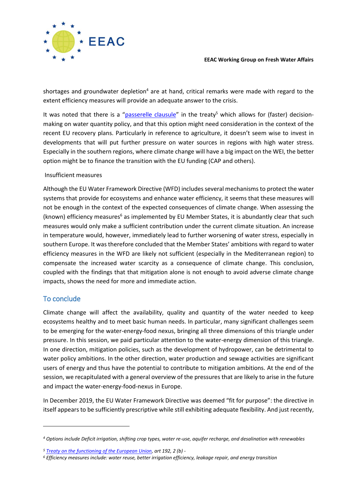

shortages and groundwater depletion<sup>4</sup> are at hand, critical remarks were made with regard to the extent efficiency measures will provide an adequate answer to the crisis.

It was noted that there is a "[passerelle clausule](https://eur-lex.europa.eu/legal-content/EN/TXT/?uri=legissum%3Aai0019)" in the treaty<sup>5</sup> which allows for (faster) decisionmaking on water quantity policy, and that this option might need consideration in the context of the recent EU recovery plans. Particularly in reference to agriculture, it doesn't seem wise to invest in developments that will put further pressure on water sources in regions with high water stress. Especially in the southern regions, where climate change will have a big impact on the WEI, the better option might be to finance the transition with the EU funding (CAP and others).

#### Insufficient measures

Although the EU Water Framework Directive (WFD) includes several mechanismsto protect the water systems that provide for ecosystems and enhance water efficiency, it seems that these measures will not be enough in the context of the expected consequences of climate change. When assessing the (known) efficiency measures<sup>6</sup> as implemented by EU Member States, it is abundantly clear that such measures would only make a sufficient contribution under the current climate situation. An increase in temperature would, however, immediately lead to further worsening of water stress, especially in southern Europe. It was therefore concluded that the Member States' ambitions with regard to water efficiency measures in the WFD are likely not sufficient (especially in the Mediterranean region) to compensate the increased water scarcity as a consequence of climate change. This conclusion, coupled with the findings that that mitigation alone is not enough to avoid adverse climate change impacts, shows the need for more and immediate action.

## To conclude

1

Climate change will affect the availability, quality and quantity of the water needed to keep ecosystems healthy and to meet basic human needs. In particular, many significant challenges seem to be emerging for the water-energy-food nexus, bringing all three dimensions of this triangle under pressure. In this session, we paid particular attention to the water-energy dimension of this triangle. In one direction, mitigation policies, such as the development of hydropower, can be detrimental to water policy ambitions. In the other direction, water production and sewage activities are significant users of energy and thus have the potential to contribute to mitigation ambitions. At the end of the session, we recapitulated with a general overview of the pressures that are likely to arise in the future and impact the water-energy-food-nexus in Europe.

In December 2019, the EU Water Framework Directive was deemed "fit for purpose": the directive in itself appears to be sufficiently prescriptive while still exhibiting adequate flexibility. And just recently,

*<sup>4</sup> Options include Deficit irrigation, shifting crop types, water re-use, aquifer recharge, and desalination with renewables*

*<sup>5</sup> [Treaty on the functioning of the European Union,](https://eur-lex.europa.eu/legal-content/EN/TXT/?uri=CELEX:12016E/TXT) art 192, 2 (b) -*

*<sup>6</sup> Efficiency measures include: water reuse, better irrigation efficiency, leakage repair, and energy transition*